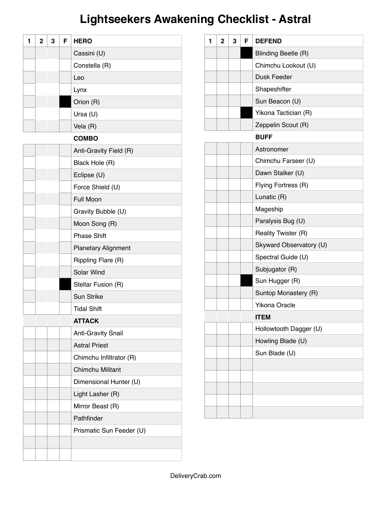# **Lightseekers Awakening Checklist - Astral**

| 1 | $\overline{2}$ | 3 | F | <b>HERO</b>                |
|---|----------------|---|---|----------------------------|
|   |                |   |   | Cassini (U)                |
|   |                |   |   | Constella (R)              |
|   |                |   |   | Leo                        |
|   |                |   |   | Lynx                       |
|   |                |   |   | Orion (R)                  |
|   |                |   |   | Ursa (U)                   |
|   |                |   |   | Vela (R)                   |
|   |                |   |   | <b>COMBO</b>               |
|   |                |   |   | Anti-Gravity Field (R)     |
|   |                |   |   | Black Hole (R)             |
|   |                |   |   | Eclipse (U)                |
|   |                |   |   | Force Shield (U)           |
|   |                |   |   | <b>Full Moon</b>           |
|   |                |   |   | Gravity Bubble (U)         |
|   |                |   |   | Moon Song (R)              |
|   |                |   |   | <b>Phase Shift</b>         |
|   |                |   |   | <b>Planetary Alignment</b> |
|   |                |   |   | Rippling Flare (R)         |
|   |                |   |   | Solar Wind                 |
|   |                |   |   | Stellar Fusion (R)         |
|   |                |   |   | <b>Sun Strike</b>          |
|   |                |   |   | <b>Tidal Shift</b>         |
|   |                |   |   | <b>ATTACK</b>              |
|   |                |   |   | <b>Anti-Gravity Snail</b>  |
|   |                |   |   | <b>Astral Priest</b>       |
|   |                |   |   | Chimchu Infiltrator (R)    |
|   |                |   |   | <b>Chimchu Militant</b>    |
|   |                |   |   | Dimensional Hunter (U)     |
|   |                |   |   | Light Lasher (R)           |
|   |                |   |   | Mirror Beast (R)           |
|   |                |   |   | Pathfinder                 |
|   |                |   |   | Prismatic Sun Feeder (U)   |
|   |                |   |   |                            |
|   |                |   |   |                            |

| 1 | $\overline{2}$ | 3 | F | <b>DEFEND</b>           |
|---|----------------|---|---|-------------------------|
|   |                |   |   | Blinding Beetle (R)     |
|   |                |   |   | Chimchu Lookout (U)     |
|   |                |   |   | Dusk Feeder             |
|   |                |   |   | Shapeshifter            |
|   |                |   |   | Sun Beacon (U)          |
|   |                |   |   | Yikona Tactician (R)    |
|   |                |   |   | Zeppelin Scout (R)      |
|   |                |   |   | <b>BUFF</b>             |
|   |                |   |   | Astronomer              |
|   |                |   |   | Chimchu Farseer (U)     |
|   |                |   |   | Dawn Stalker (U)        |
|   |                |   |   | Flying Fortress (R)     |
|   |                |   |   | Lunatic (R)             |
|   |                |   |   | Mageship                |
|   |                |   |   | Paralysis Bug (U)       |
|   |                |   |   | Reality Twister (R)     |
|   |                |   |   | Skyward Observatory (U) |
|   |                |   |   | Spectral Guide (U)      |
|   |                |   |   | Subjugator (R)          |
|   |                |   |   | Sun Hugger (R)          |
|   |                |   |   | Suntop Monastery (R)    |
|   |                |   |   | <b>Yikona Oracle</b>    |
|   |                |   |   | <b>ITEM</b>             |
|   |                |   |   | Hollowtooth Dagger (U)  |
|   |                |   |   | Howling Blade (U)       |
|   |                |   |   | Sun Blade (U)           |
|   |                |   |   |                         |
|   |                |   |   |                         |
|   |                |   |   |                         |
|   |                |   |   |                         |
|   |                |   |   |                         |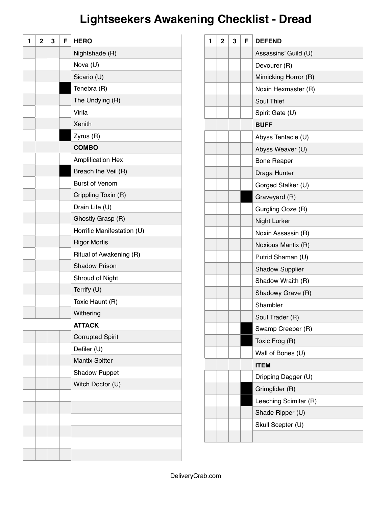# **Lightseekers Awakening Checklist - Dread**

| 1 | $\mathbf{2}$ | 3 | F | <b>HERO</b>                |
|---|--------------|---|---|----------------------------|
|   |              |   |   | Nightshade (R)             |
|   |              |   |   | Nova (U)                   |
|   |              |   |   | Sicario (U)                |
|   |              |   |   | Tenebra (R)                |
|   |              |   |   | The Undying (R)            |
|   |              |   |   | Virila                     |
|   |              |   |   | Xenith                     |
|   |              |   |   | Zyrus (R)                  |
|   |              |   |   | <b>COMBO</b>               |
|   |              |   |   | <b>Amplification Hex</b>   |
|   |              |   |   | Breach the Veil (R)        |
|   |              |   |   | <b>Burst of Venom</b>      |
|   |              |   |   | Crippling Toxin (R)        |
|   |              |   |   | Drain Life (U)             |
|   |              |   |   | Ghostly Grasp (R)          |
|   |              |   |   | Horrific Manifestation (U) |
|   |              |   |   | <b>Rigor Mortis</b>        |
|   |              |   |   | Ritual of Awakening (R)    |
|   |              |   |   | <b>Shadow Prison</b>       |
|   |              |   |   | Shroud of Night            |
|   |              |   |   | Terrify (U)                |
|   |              |   |   | Toxic Haunt (R)            |
|   |              |   |   | Withering                  |
|   |              |   |   | <b>ATTACK</b>              |
|   |              |   |   | <b>Corrupted Spirit</b>    |
|   |              |   |   | Defiler (U)                |
|   |              |   |   | <b>Mantix Spitter</b>      |
|   |              |   |   | <b>Shadow Puppet</b>       |
|   |              |   |   | Witch Doctor (U)           |
|   |              |   |   |                            |
|   |              |   |   |                            |
|   |              |   |   |                            |
|   |              |   |   |                            |
|   |              |   |   |                            |
|   |              |   |   |                            |

| 1 | $\mathbf{2}$ | 3 | F | <b>DEFEND</b>          |
|---|--------------|---|---|------------------------|
|   |              |   |   | Assassins' Guild (U)   |
|   |              |   |   | Devourer (R)           |
|   |              |   |   | Mimicking Horror (R)   |
|   |              |   |   | Noxin Hexmaster (R)    |
|   |              |   |   | Soul Thief             |
|   |              |   |   | Spirit Gate (U)        |
|   |              |   |   | <b>BUFF</b>            |
|   |              |   |   | Abyss Tentacle (U)     |
|   |              |   |   | Abyss Weaver (U)       |
|   |              |   |   | <b>Bone Reaper</b>     |
|   |              |   |   | Draga Hunter           |
|   |              |   |   | Gorged Stalker (U)     |
|   |              |   |   | Graveyard (R)          |
|   |              |   |   | Gurgling Ooze (R)      |
|   |              |   |   | <b>Night Lurker</b>    |
|   |              |   |   | Noxin Assassin (R)     |
|   |              |   |   | Noxious Mantix (R)     |
|   |              |   |   | Putrid Shaman (U)      |
|   |              |   |   | <b>Shadow Supplier</b> |
|   |              |   |   | Shadow Wraith (R)      |
|   |              |   |   | Shadowy Grave (R)      |
|   |              |   |   | Shambler               |
|   |              |   |   | Soul Trader (R)        |
|   |              |   |   | Swamp Creeper (R)      |
|   |              |   |   | Toxic Frog (R)         |
|   |              |   |   | Wall of Bones (U)      |
|   |              |   |   | <b>ITEM</b>            |
|   |              |   |   | Dripping Dagger (U)    |
|   |              |   |   | Grimglider (R)         |
|   |              |   |   | Leeching Scimitar (R)  |
|   |              |   |   | Shade Ripper (U)       |
|   |              |   |   | Skull Scepter (U)      |
|   |              |   |   |                        |
|   |              |   |   |                        |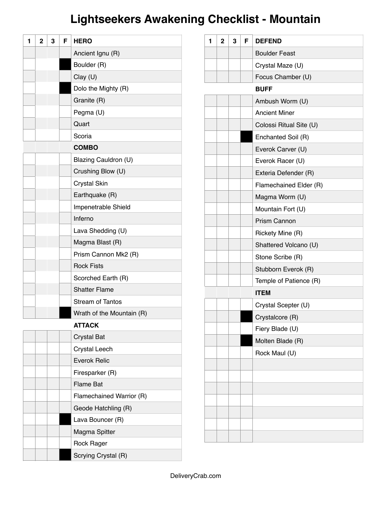# **Lightseekers Awakening Checklist - Mountain**

| 1 | $\mathbf{2}$ | 3 | F | <b>HERO</b>               |
|---|--------------|---|---|---------------------------|
|   |              |   |   | Ancient Ignu (R)          |
|   |              |   |   | Boulder (R)               |
|   |              |   |   | Clay (U)                  |
|   |              |   |   | Dolo the Mighty (R)       |
|   |              |   |   | Granite (R)               |
|   |              |   |   | Pegma (U)                 |
|   |              |   |   | Quart                     |
|   |              |   |   | Scoria                    |
|   |              |   |   | <b>COMBO</b>              |
|   |              |   |   | Blazing Cauldron (U)      |
|   |              |   |   | Crushing Blow (U)         |
|   |              |   |   | <b>Crystal Skin</b>       |
|   |              |   |   | Earthquake (R)            |
|   |              |   |   | Impenetrable Shield       |
|   |              |   |   | Inferno                   |
|   |              |   |   | Lava Shedding (U)         |
|   |              |   |   | Magma Blast (R)           |
|   |              |   |   | Prism Cannon Mk2 (R)      |
|   |              |   |   | <b>Rock Fists</b>         |
|   |              |   |   | Scorched Earth (R)        |
|   |              |   |   | <b>Shatter Flame</b>      |
|   |              |   |   | <b>Stream of Tantos</b>   |
|   |              |   |   | Wrath of the Mountain (R) |
|   |              |   |   | <b>ATTACK</b>             |
|   |              |   |   | <b>Crystal Bat</b>        |
|   |              |   |   | Crystal Leech             |
|   |              |   |   | <b>Everok Relic</b>       |
|   |              |   |   | Firesparker (R)           |
|   |              |   |   | <b>Flame Bat</b>          |
|   |              |   |   | Flamechained Warrior (R)  |
|   |              |   |   | Geode Hatchling (R)       |
|   |              |   |   | Lava Bouncer (R)          |
|   |              |   |   | Magma Spitter             |
|   |              |   |   | Rock Rager                |
|   |              |   |   | Scrying Crystal (R)       |

| 1 | $\overline{2}$ | 3 | F | <b>DEFEND</b>           |
|---|----------------|---|---|-------------------------|
|   |                |   |   | <b>Boulder Feast</b>    |
|   |                |   |   | Crystal Maze (U)        |
|   |                |   |   | Focus Chamber (U)       |
|   |                |   |   | <b>BUFF</b>             |
|   |                |   |   | Ambush Worm (U)         |
|   |                |   |   | <b>Ancient Miner</b>    |
|   |                |   |   | Colossi Ritual Site (U) |
|   |                |   |   | Enchanted Soil (R)      |
|   |                |   |   | Everok Carver (U)       |
|   |                |   |   | Everok Racer (U)        |
|   |                |   |   | Exteria Defender (R)    |
|   |                |   |   | Flamechained Elder (R)  |
|   |                |   |   | Magma Worm (U)          |
|   |                |   |   | Mountain Fort (U)       |
|   |                |   |   | <b>Prism Cannon</b>     |
|   |                |   |   | Rickety Mine (R)        |
|   |                |   |   | Shattered Volcano (U)   |
|   |                |   |   | Stone Scribe (R)        |
|   |                |   |   | Stubborn Everok (R)     |
|   |                |   |   | Temple of Patience (R)  |
|   |                |   |   | <b>ITEM</b>             |
|   |                |   |   | Crystal Scepter (U)     |
|   |                |   |   | Crystalcore (R)         |
|   |                |   |   | Fiery Blade (U)         |
|   |                |   |   | Molten Blade (R)        |
|   |                |   |   | Rock Maul (U)           |
|   |                |   |   |                         |
|   |                |   |   |                         |
|   |                |   |   |                         |
|   |                |   |   |                         |
|   |                |   |   |                         |
|   |                |   |   |                         |
|   |                |   |   |                         |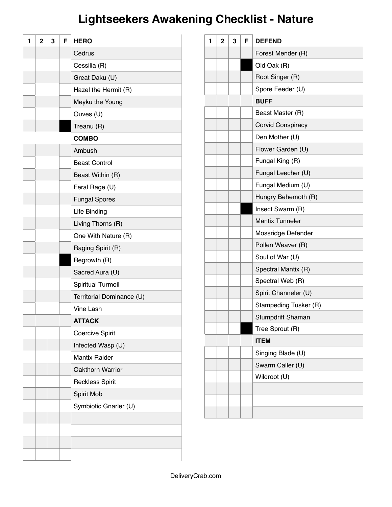# **Lightseekers Awakening Checklist - Nature**

| 1 | $\mathbf{2}$ | 3 | F | <b>HERO</b>               |
|---|--------------|---|---|---------------------------|
|   |              |   |   | Cedrus                    |
|   |              |   |   | Cessilia (R)              |
|   |              |   |   | Great Daku (U)            |
|   |              |   |   | Hazel the Hermit (R)      |
|   |              |   |   | Meyku the Young           |
|   |              |   |   | Ouves (U)                 |
|   |              |   |   | Treanu (R)                |
|   |              |   |   | <b>COMBO</b>              |
|   |              |   |   | Ambush                    |
|   |              |   |   | <b>Beast Control</b>      |
|   |              |   |   | Beast Within (R)          |
|   |              |   |   | Feral Rage (U)            |
|   |              |   |   | <b>Fungal Spores</b>      |
|   |              |   |   | Life Binding              |
|   |              |   |   | Living Thorns (R)         |
|   |              |   |   | One With Nature (R)       |
|   |              |   |   | Raging Spirit (R)         |
|   |              |   |   | Regrowth (R)              |
|   |              |   |   | Sacred Aura (U)           |
|   |              |   |   | Spiritual Turmoil         |
|   |              |   |   | Territorial Dominance (U) |
|   |              |   |   | <b>Vine Lash</b>          |
|   |              |   |   | <b>ATTACK</b>             |
|   |              |   |   | <b>Coercive Spirit</b>    |
|   |              |   |   | Infected Wasp (U)         |
|   |              |   |   | <b>Mantix Raider</b>      |
|   |              |   |   | Oakthorn Warrior          |
|   |              |   |   | <b>Reckless Spirit</b>    |
|   |              |   |   | Spirit Mob                |
|   |              |   |   | Symbiotic Gnarler (U)     |
|   |              |   |   |                           |
|   |              |   |   |                           |
|   |              |   |   |                           |
|   |              |   |   |                           |

| 1 | $\overline{2}$ | 3 | F | <b>DEFEND</b>          |
|---|----------------|---|---|------------------------|
|   |                |   |   | Forest Mender (R)      |
|   |                |   |   | Old Oak (R)            |
|   |                |   |   | Root Singer (R)        |
|   |                |   |   | Spore Feeder (U)       |
|   |                |   |   | <b>BUFF</b>            |
|   |                |   |   | Beast Master (R)       |
|   |                |   |   | Corvid Conspiracy      |
|   |                |   |   | Den Mother (U)         |
|   |                |   |   | Flower Garden (U)      |
|   |                |   |   | Fungal King (R)        |
|   |                |   |   | Fungal Leecher (U)     |
|   |                |   |   | Fungal Medium (U)      |
|   |                |   |   | Hungry Behemoth (R)    |
|   |                |   |   | Insect Swarm (R)       |
|   |                |   |   | <b>Mantix Tunneler</b> |
|   |                |   |   | Mossridge Defender     |
|   |                |   |   | Pollen Weaver (R)      |
|   |                |   |   | Soul of War (U)        |
|   |                |   |   | Spectral Mantix (R)    |
|   |                |   |   | Spectral Web (R)       |
|   |                |   |   | Spirit Channeler (U)   |
|   |                |   |   | Stampeding Tusker (R)  |
|   |                |   |   | Stumpdrift Shaman      |
|   |                |   |   | Tree Sprout (R)        |
|   |                |   |   | <b>ITEM</b>            |
|   |                |   |   | Singing Blade (U)      |
|   |                |   |   | Swarm Caller (U)       |
|   |                |   |   | Wildroot (U)           |
|   |                |   |   |                        |
|   |                |   |   |                        |
|   |                |   |   |                        |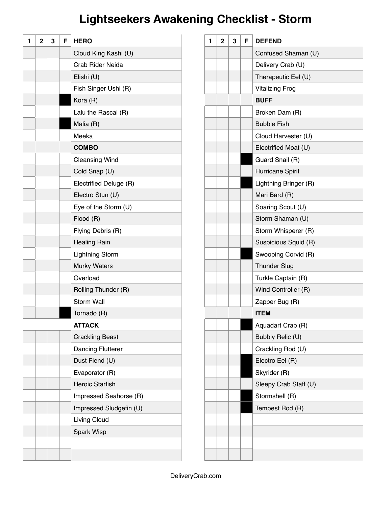# **Lightseekers Awakening Checklist - Storm**

| 1 | $\mathbf{2}$ | 3 | F | <b>HERO</b>              |
|---|--------------|---|---|--------------------------|
|   |              |   |   | Cloud King Kashi (U)     |
|   |              |   |   | Crab Rider Neida         |
|   |              |   |   | Elishi (U)               |
|   |              |   |   | Fish Singer Ushi (R)     |
|   |              |   |   | Kora (R)                 |
|   |              |   |   | Lalu the Rascal (R)      |
|   |              |   |   | Malia (R)                |
|   |              |   |   | Meeka                    |
|   |              |   |   | <b>COMBO</b>             |
|   |              |   |   | <b>Cleansing Wind</b>    |
|   |              |   |   | Cold Snap (U)            |
|   |              |   |   | Electrified Deluge (R)   |
|   |              |   |   | Electro Stun (U)         |
|   |              |   |   | Eye of the Storm (U)     |
|   |              |   |   | Flood (R)                |
|   |              |   |   | Flying Debris (R)        |
|   |              |   |   | <b>Healing Rain</b>      |
|   |              |   |   | <b>Lightning Storm</b>   |
|   |              |   |   | <b>Murky Waters</b>      |
|   |              |   |   | Overload                 |
|   |              |   |   | Rolling Thunder (R)      |
|   |              |   |   | <b>Storm Wall</b>        |
|   |              |   |   | Tornado (R)              |
|   |              |   |   | <b>ATTACK</b>            |
|   |              |   |   | <b>Crackling Beast</b>   |
|   |              |   |   | <b>Dancing Flutterer</b> |
|   |              |   |   | Dust Fiend (U)           |
|   |              |   |   | Evaporator (R)           |
|   |              |   |   | <b>Heroic Starfish</b>   |
|   |              |   |   | Impressed Seahorse (R)   |
|   |              |   |   | Impressed Sludgefin (U)  |
|   |              |   |   | Living Cloud             |
|   |              |   |   | Spark Wisp               |
|   |              |   |   |                          |
|   |              |   |   |                          |

| 1 | $\mathbf{2}$ | 3 | F | <b>DEFEND</b>          |
|---|--------------|---|---|------------------------|
|   |              |   |   | Confused Shaman (U)    |
|   |              |   |   | Delivery Crab (U)      |
|   |              |   |   | Therapeutic Eel (U)    |
|   |              |   |   | <b>Vitalizing Frog</b> |
|   |              |   |   | <b>BUFF</b>            |
|   |              |   |   | Broken Dam (R)         |
|   |              |   |   | <b>Bubble Fish</b>     |
|   |              |   |   | Cloud Harvester (U)    |
|   |              |   |   | Electrified Moat (U)   |
|   |              |   |   | Guard Snail (R)        |
|   |              |   |   | Hurricane Spirit       |
|   |              |   |   | Lightning Bringer (R)  |
|   |              |   |   | Mari Bard (R)          |
|   |              |   |   | Soaring Scout (U)      |
|   |              |   |   | Storm Shaman (U)       |
|   |              |   |   | Storm Whisperer (R)    |
|   |              |   |   | Suspicious Squid (R)   |
|   |              |   |   | Swooping Corvid (R)    |
|   |              |   |   | <b>Thunder Slug</b>    |
|   |              |   |   | Turkle Captain (R)     |
|   |              |   |   | Wind Controller (R)    |
|   |              |   |   | Zapper Bug (R)         |
|   |              |   |   | <b>ITEM</b>            |
|   |              |   |   | Aquadart Crab (R)      |
|   |              |   |   | Bubbly Relic (U)       |
|   |              |   |   | Crackling Rod (U)      |
|   |              |   |   | Electro Eel (R)        |
|   |              |   |   | Skyrider (R)           |
|   |              |   |   | Sleepy Crab Staff (U)  |
|   |              |   |   | Stormshell (R)         |
|   |              |   |   | Tempest Rod (R)        |
|   |              |   |   |                        |
|   |              |   |   |                        |
|   |              |   |   |                        |
|   |              |   |   |                        |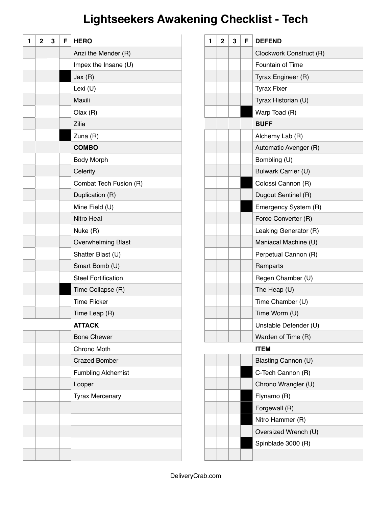# **Lightseekers Awakening Checklist - Tech**

| 1 | $\overline{2}$ | 3 | F | <b>HERO</b>                |
|---|----------------|---|---|----------------------------|
|   |                |   |   | Anzi the Mender (R)        |
|   |                |   |   | Impex the Insane (U)       |
|   |                |   |   | Jax(R)                     |
|   |                |   |   | Lexi (U)                   |
|   |                |   |   | Maxili                     |
|   |                |   |   | Olax(R)                    |
|   |                |   |   | Zilia                      |
|   |                |   |   | Zuna (R)                   |
|   |                |   |   | <b>COMBO</b>               |
|   |                |   |   | <b>Body Morph</b>          |
|   |                |   |   | Celerity                   |
|   |                |   |   | Combat Tech Fusion (R)     |
|   |                |   |   | Duplication (R)            |
|   |                |   |   | Mine Field (U)             |
|   |                |   |   | Nitro Heal                 |
|   |                |   |   | Nuke (R)                   |
|   |                |   |   | <b>Overwhelming Blast</b>  |
|   |                |   |   | Shatter Blast (U)          |
|   |                |   |   | Smart Bomb (U)             |
|   |                |   |   | <b>Steel Fortification</b> |
|   |                |   |   | Time Collapse (R)          |
|   |                |   |   | <b>Time Flicker</b>        |
|   |                |   |   | Time Leap (R)              |
|   |                |   |   | <b>ATTACK</b>              |
|   |                |   |   | <b>Bone Chewer</b>         |
|   |                |   |   | Chrono Moth                |
|   |                |   |   | <b>Crazed Bomber</b>       |
|   |                |   |   | <b>Fumbling Alchemist</b>  |
|   |                |   |   | Looper                     |
|   |                |   |   | <b>Tyrax Mercenary</b>     |
|   |                |   |   |                            |
|   |                |   |   |                            |
|   |                |   |   |                            |
|   |                |   |   |                            |
|   |                |   |   |                            |

| 1 | $\overline{2}$ | 3 | F | <b>DEFEND</b>           |
|---|----------------|---|---|-------------------------|
|   |                |   |   | Clockwork Construct (R) |
|   |                |   |   | Fountain of Time        |
|   |                |   |   | Tyrax Engineer (R)      |
|   |                |   |   | <b>Tyrax Fixer</b>      |
|   |                |   |   | Tyrax Historian (U)     |
|   |                |   |   | Warp Toad (R)           |
|   |                |   |   | <b>BUFF</b>             |
|   |                |   |   | Alchemy Lab (R)         |
|   |                |   |   | Automatic Avenger (R)   |
|   |                |   |   | Bombling (U)            |
|   |                |   |   | Bulwark Carrier (U)     |
|   |                |   |   | Colossi Cannon (R)      |
|   |                |   |   | Dugout Sentinel (R)     |
|   |                |   |   | Emergency System (R)    |
|   |                |   |   | Force Converter (R)     |
|   |                |   |   | Leaking Generator (R)   |
|   |                |   |   | Maniacal Machine (U)    |
|   |                |   |   | Perpetual Cannon (R)    |
|   |                |   |   | Ramparts                |
|   |                |   |   | Regen Chamber (U)       |
|   |                |   |   | The Heap $(U)$          |
|   |                |   |   | Time Chamber (U)        |
|   |                |   |   | Time Worm (U)           |
|   |                |   |   | Unstable Defender (U)   |
|   |                |   |   | Warden of Time (R)      |
|   |                |   |   | <b>ITEM</b>             |
|   |                |   |   | Blasting Cannon (U)     |
|   |                |   |   | C-Tech Cannon (R)       |
|   |                |   |   | Chrono Wrangler (U)     |
|   |                |   |   | Flynamo (R)             |
|   |                |   |   | Forgewall (R)           |
|   |                |   |   | Nitro Hammer (R)        |
|   |                |   |   | Oversized Wrench (U)    |
|   |                |   |   | Spinblade 3000 (R)      |
|   |                |   |   |                         |